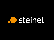# steinel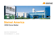



# **Steinel America**

# **OEM Done Better**

**MICRO WEBINAR NOVEMBER 11, 2020**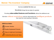

We think **outside the box** and

Scrutinize things that are taken for granted

Providing **value-added features and functions** without the additional cost.

We think **without restrictions** and turn discoveries into **intelligent products**  that meet the most exacting of demands.

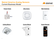## **Steinel America Analog Sensors** Current Business Model



#### **Power Packs Ultra Sonic**



#### **Wall Switches**



#### **Ceiling Mount Corner Mount**





#### **Smart Remote**

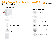# **Steinel America Digital Control System (DCS)** New Product Release



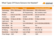

|                    | <b>Stand Alone</b>      | <b>Smart</b>            | <b>Networked/Wireless/IOT</b> |
|--------------------|-------------------------|-------------------------|-------------------------------|
| <b>Technology</b>  | <b>PIR or Microwave</b> | <b>PIR or Microwave</b> | <b>PIR or Microwave</b>       |
| <b>Wireless</b>    | <b>None</b>             | <b>IR Programming</b>   | <b>BLE</b> wireless mesh      |
| Power              | Line or Low Volt.       | Line or Low Volt.       | Line or Low Volt.             |
| Control            | On/Off                  | On/Off                  | On/Off                        |
| <b>Time Delay</b>  | 15 Sec to 30 Min        | 15 Sec to 30 Min        | 15 Sec to 30 Min              |
| <b>Light Level</b> | <b>Yes</b>              | Yes                     | <b>Yes</b>                    |
| <b>Dimming</b>     | <b>No</b>               | 0-10 VDC/DALI2          | 0-10 VDC/DALI2/DEXEL          |
| <b>HI/Lo Mode</b>  | <b>No</b>               | Yes                     | <b>Yes</b>                    |
| Ramp/Fade          | <b>No</b>               | 1 to 60 sec.            | 1 to $60$ sec.                |
| <b>IP Rating</b>   | IP20, 65, 66            | IP20, 65, 66            | IP20, 65, 66                  |
| <b>Sensitivity</b> | Low to High             | Low to High             | Low to High                   |
| <b>Price Range</b> | ~1.625                  | ~1532                   | ~1.535                        |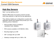# **Steinel America Sensors** Current OEM Sensors

# **High Bay Sensors**

High / Low bay lighting control

Steinel's HBS series of occupancy sensors provide world class detection in high and low bay applications.

They utilizing multiple pyro configurations coupled with application specific lens designs that provide up to 1416 switching zones of detection.

- IP20 and IP65 versions available in 120/230/277VAC, 50/60Hz.
- IP20 versions available in 347/480VAC, 60Hz.
- Mounting height up to 45ft
- 360° coverage with up to 60ft
- Aisleway coverage with up to 100ft x 13ft



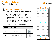# **Warehouse Solution** Typical Isle Layout

# **STEINEL Solution**

- Use of occupancy sensor provides automatic all OFF.
- All sensors to be set to automatic ON.
- Detection should be limited to each aisle and movement in cross aisles should not turn the lights ON.
- Easy to install lens cover LC1 limits detection area of HBS 200 sensors to each aisle.

## This layout: 2 x 200 ft. aisle aisleway

| <b>Product</b>  | <b>Description</b>         |  |
|-----------------|----------------------------|--|
| <b>HBS 200</b>  | PIR aisle occupancy sensor |  |
| LC <sub>1</sub> | Aisle-starter Lens Cover   |  |



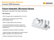

# **Fixture Integrated Microwave Sensor**

### INDIVIDUAL LIGHTING FIXTURE CONTROLS

#### **Key Features:**

- 360° coverage; reach is adjustable from 3.3 to 26 ft
- High frequency technology emits 5.8 GHz electromagnetic waves
- Built-in surge protection with auto-reset
- Lamp seasoning feature provides a simple and convenient 4 day burn in as recommended by lamp manufacturers
- Adjustable time delay and light level settings
- Light level feature allows lighting to remain off during daylight, regardless of occupancy (hold off)
- Wiring is streamlined with three terminals

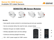



# **SENSOTEC MB Sensor Modules**



#### **Benefits:**

- User-specific remote controls for commissioning and end-user operation
- Can be connected without the need for tools, compact design
- Detection through non-metallic materials
- Infinitely adjustable reach and time settings
- Continuous dimming daylight harvesting
- 100 240 V power supply for COM1 version





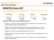12



# **SENSOTEC Sensor NET**

Our most innovative sensors are interconnected via a Bluetooth mesh network and can be configured by app via the DALI bus.



#### **Bluetooth mesh (SIG) interconnectable sensors:**

- HF2 NET is a microwave sensor designed for built-in applications, these modules can be installed inside luminaires or other applications.
- PIR NET is a 360° passive infrared sensor with a presence detection zone of 4 x 4 m (presence and radial) or 6 x 6 m (tangential). With patented multi-segment pyro sensor.
- Satellite NET is used for extending the Bluetooth mesh network.
- HB PIR 3360 NET is a high-precision 360° infrared senor for High Bay applications with up to IP65 protection.
- HB PIR 345 NET has a coverage zone of 30 x 4 m infrared senor for High Bay applications with up to IP65 protection.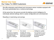# **Steinel Use Case** Our Value To OEM Customers



We offer extremely small infrared and microwave sensor modules equipped with the most sophisticated lens or antenna technology.

At the same time, the sensors provide the lighting control intelligence for individually tailored settings which is easily configurable and commissioned.

Resulting in maximizing cost savings.



The basis for installation are luminaires which you have either already designed or looking to make.

Available with various connections, our built-in sensors are compatible with several protocols.

Your light  $\longrightarrow$  Our sensor  $\longrightarrow$  Intelligence update

Your luminaire is now in a position, for example, to communicate via Bluetooth.